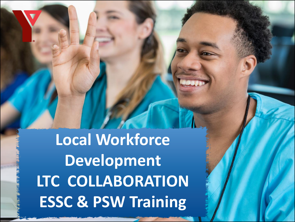**Local Workforce Development LTC COLLABORATION ESSC & PSW Training**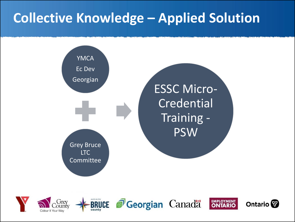#### **Collective Knowledge – Applied Solution**







**J**Georgian Canada



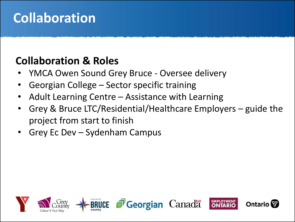#### **Collaboration**

#### **Collaboration & Roles**

- YMCA Owen Sound Grey Bruce Oversee delivery
- Georgian College Sector specific training
- Adult Learning Centre Assistance with Learning
- Grey & Bruce LTC/Residential/Healthcare Employers guide the project from start to finish
- Grey Ec Dev Sydenham Campus

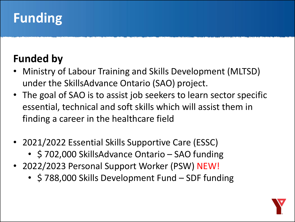## **Funding**

#### **Funded by**

- Ministry of Labour Training and Skills Development (MLTSD) under the SkillsAdvance Ontario (SAO) project.
- The goal of SAO is to assist job seekers to learn sector specific essential, technical and soft skills which will assist them in finding a career in the healthcare field
- 2021/2022 Essential Skills Supportive Care (ESSC)
	- \$702,000 SkillsAdvance Ontario SAO funding
- 2022/2023 Personal Support Worker (PSW) NEW!
	- \$788,000 Skills Development Fund SDF funding

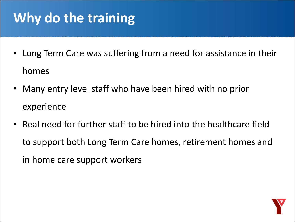## **Why do the training**

- Long Term Care was suffering from a need for assistance in their homes
- Many entry level staff who have been hired with no prior experience
- Real need for further staff to be hired into the healthcare field to support both Long Term Care homes, retirement homes and in home care support workers

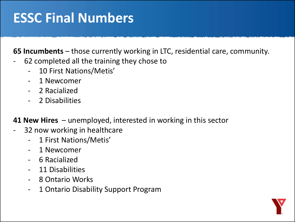#### **ESSC Final Numbers**

**65 Incumbents** – those currently working in LTC, residential care, community.

- 62 completed all the training they chose to
	- 10 First Nations/Metis'
	- 1 Newcomer
	- 2 Racialized
	- 2 Disabilities

**41 New Hires** – unemployed, interested in working in this sector

- 32 now working in healthcare
	- 1 First Nations/Metis'
	- 1 Newcomer
	- 6 Racialized
	- 11 Disabilities
	- 8 Ontario Works
	- 1 Ontario Disability Support Program

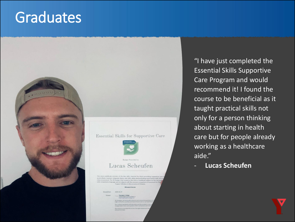## **Graduates**



#### **Essential Skills for Supportive Care**



#### net Ministers in the net description of Christmas

"I have just completed the Essential Skills Supportive Care Program and would recommend it! I found the course to be beneficial as it taught practical skills not only for a person thinking about starting in health care but for people already working as a healthcare aide."

- **Lucas Scheufen**

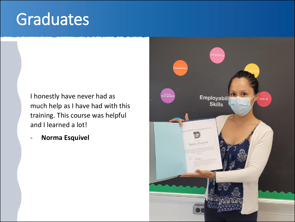# Graduates

I honestly have never had as much help as I have had with this training. This course was helpful and I learned a lot!

- **Norma Esquivel**

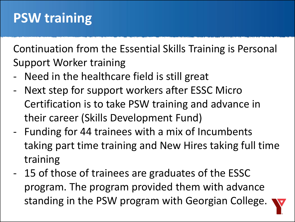Continuation from the Essential Skills Training is Personal Support Worker training

- Need in the healthcare field is still great
- Next step for support workers after ESSC Micro Certification is to take PSW training and advance in their career (Skills Development Fund)
- Funding for 44 trainees with a mix of Incumbents taking part time training and New Hires taking full time training
- 15 of those of trainees are graduates of the ESSC program. The program provided them with advance standing in the PSW program with Georgian College.

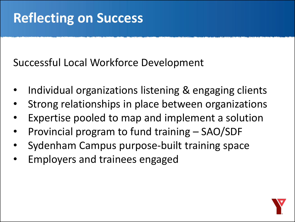#### **Reflecting on Success**

Successful Local Workforce Development

- Individual organizations listening & engaging clients
- Strong relationships in place between organizations
- Expertise pooled to map and implement a solution
- Provincial program to fund training SAO/SDF
- Sydenham Campus purpose-built training space
- Employers and trainees engaged